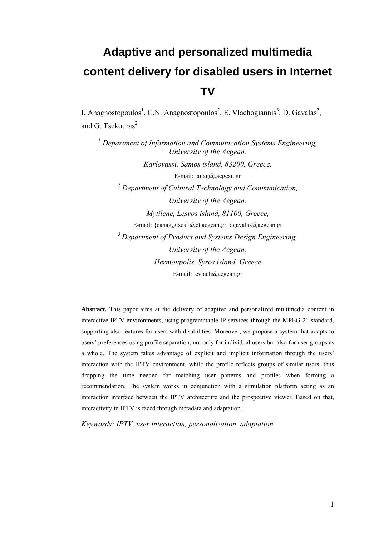# **Adaptive and personalized multimedia content delivery for disabled users in Internet TV**

I. Anagnostopoulos<sup>1</sup>, C.N. Anagnostopoulos<sup>2</sup>, E. Vlachogiannis<sup>3</sup>, D. Gavalas<sup>2</sup>, and G. Tsekouras $2$ 

<sup>1</sup> Department of Information and Communication Systems Engineering, *University of the Aegean, Karlovassi, Samos island, 83200, Greece,*  E-mail: janag@.aegean.gr *2 Department of Cultural Technology and Communication, University of the Aegean, Mytilene, Lesvos island, 81100, Greece,*  E-mail: {canag,gtsek}@ct.aegean.gr, dgavalas@aegean.gr *3 Department of Product and Systems Design Engineering, University of the Aegean, Hermoupolis, Syros island, Greece*  E-mail: evlach@aegean.gr

**Abstract.** This paper aims at the delivery of adaptive and personalized multimedia content in interactive IPTV environments, using programmable IP services through the MPEG-21 standard, supporting also features for users with disabilities. Moreover, we propose a system that adapts to users' preferences using profile separation, not only for individual users but also for user groups as a whole. The system takes advantage of explicit and implicit information through the users' interaction with the IPTV environment, while the profile reflects groups of similar users, thus dropping the time needed for matching user patterns and profiles when forming a recommendation. The system works in conjunction with a simulation platform acting as an interaction interface between the IPTV architecture and the prospective viewer. Based on that, interactivity in IPTV is faced through metadata and adaptation.

*Keywords: IPTV, user interaction, personalization, adaptation*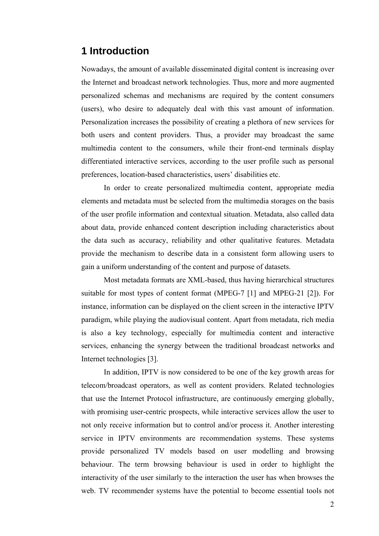# **1 Introduction**

Nowadays, the amount of available disseminated digital content is increasing over the Internet and broadcast network technologies. Thus, more and more augmented personalized schemas and mechanisms are required by the content consumers (users), who desire to adequately deal with this vast amount of information. Personalization increases the possibility of creating a plethora of new services for both users and content providers. Thus, a provider may broadcast the same multimedia content to the consumers, while their front-end terminals display differentiated interactive services, according to the user profile such as personal preferences, location-based characteristics, users' disabilities etc.

In order to create personalized multimedia content, appropriate media elements and metadata must be selected from the multimedia storages on the basis of the user profile information and contextual situation. Metadata, also called data about data, provide enhanced content description including characteristics about the data such as accuracy, reliability and other qualitative features. Metadata provide the mechanism to describe data in a consistent form allowing users to gain a uniform understanding of the content and purpose of datasets.

Most metadata formats are XML-based, thus having hierarchical structures suitable for most types of content format (MPEG-7 [1] and MPEG-21 [2]). For instance, information can be displayed on the client screen in the interactive IPTV paradigm, while playing the audiovisual content. Apart from metadata, rich media is also a key technology, especially for multimedia content and interactive services, enhancing the synergy between the traditional broadcast networks and Internet technologies [3].

In addition, IPTV is now considered to be one of the key growth areas for telecom/broadcast operators, as well as content providers. Related technologies that use the Internet Protocol infrastructure, are continuously emerging globally, with promising user-centric prospects, while interactive services allow the user to not only receive information but to control and/or process it. Another interesting service in IPTV environments are recommendation systems. These systems provide personalized TV models based on user modelling and browsing behaviour. The term browsing behaviour is used in order to highlight the interactivity of the user similarly to the interaction the user has when browses the web. TV recommender systems have the potential to become essential tools not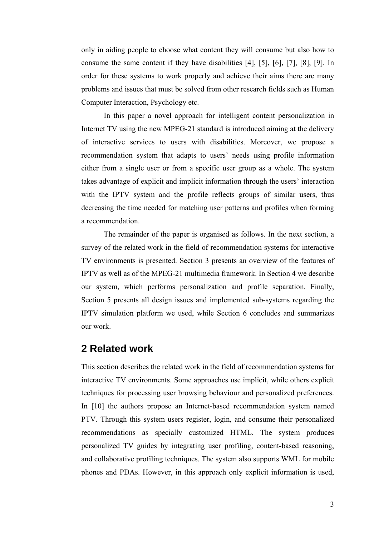only in aiding people to choose what content they will consume but also how to consume the same content if they have disabilities [4], [5], [6], [7], [8], [9]. In order for these systems to work properly and achieve their aims there are many problems and issues that must be solved from other research fields such as Human Computer Interaction, Psychology etc.

In this paper a novel approach for intelligent content personalization in Internet TV using the new MPEG-21 standard is introduced aiming at the delivery of interactive services to users with disabilities. Moreover, we propose a recommendation system that adapts to users' needs using profile information either from a single user or from a specific user group as a whole. The system takes advantage of explicit and implicit information through the users' interaction with the IPTV system and the profile reflects groups of similar users, thus decreasing the time needed for matching user patterns and profiles when forming a recommendation.

The remainder of the paper is organised as follows. In the next section, a survey of the related work in the field of recommendation systems for interactive TV environments is presented. Section 3 presents an overview of the features of IPTV as well as of the MPEG-21 multimedia framework. In Section 4 we describe our system, which performs personalization and profile separation. Finally, Section 5 presents all design issues and implemented sub-systems regarding the IPTV simulation platform we used, while Section 6 concludes and summarizes our work.

### **2 Related work**

This section describes the related work in the field of recommendation systems for interactive TV environments. Some approaches use implicit, while others explicit techniques for processing user browsing behaviour and personalized preferences. In [10] the authors propose an Internet-based recommendation system named PTV. Through this system users register, login, and consume their personalized recommendations as specially customized HTML. The system produces personalized TV guides by integrating user profiling, content-based reasoning, and collaborative profiling techniques. The system also supports WML for mobile phones and PDAs. However, in this approach only explicit information is used,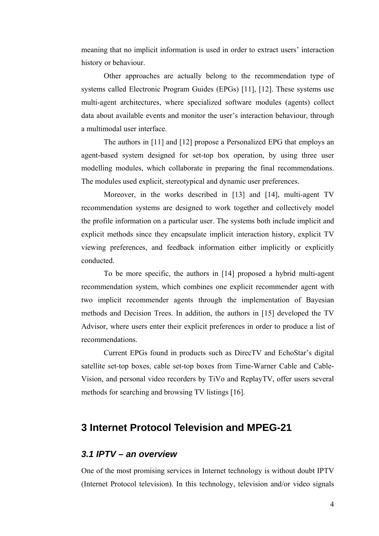meaning that no implicit information is used in order to extract users' interaction history or behaviour.

Other approaches are actually belong to the recommendation type of systems called Electronic Program Guides (EPGs) [11], [12]. These systems use multi-agent architectures, where specialized software modules (agents) collect data about available events and monitor the user's interaction behaviour, through a multimodal user interface.

The authors in [11] and [12] propose a Personalized EPG that employs an agent-based system designed for set-top box operation, by using three user modelling modules, which collaborate in preparing the final recommendations. The modules used explicit, stereotypical and dynamic user preferences.

Moreover, in the works described in [13] and [14], multi-agent TV recommendation systems are designed to work together and collectively model the profile information on a particular user. The systems both include implicit and explicit methods since they encapsulate implicit interaction history, explicit TV viewing preferences, and feedback information either implicitly or explicitly conducted.

To be more specific, the authors in [14] proposed a hybrid multi-agent recommendation system, which combines one explicit recommender agent with two implicit recommender agents through the implementation of Bayesian methods and Decision Trees. In addition, the authors in [15] developed the TV Advisor, where users enter their explicit preferences in order to produce a list of recommendations.

Current EPGs found in products such as DirecTV and EchoStar's digital satellite set-top boxes, cable set-top boxes from Time-Warner Cable and Cable-Vision, and personal video recorders by TiVo and ReplayTV, offer users several methods for searching and browsing TV listings [16].

## **3 Internet Protocol Television and MPEG-21**

#### *3.1 IPTV – an overview*

One of the most promising services in Internet technology is without doubt IPTV (Internet Protocol television). In this technology, television and/or video signals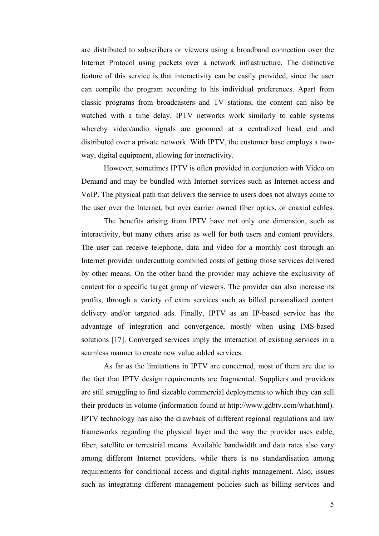are distributed to subscribers or viewers using a broadband connection over the Internet Protocol using packets over a network infrastructure. The distinctive feature of this service is that interactivity can be easily provided, since the user can compile the program according to his individual preferences. Apart from classic programs from broadcasters and TV stations, the content can also be watched with a time delay. IPTV networks work similarly to cable systems whereby video/audio signals are groomed at a centralized head end and distributed over a private network. With IPTV, the customer base employs a twoway, digital equipment, allowing for interactivity.

However, sometimes IPTV is often provided in conjunction with Video on Demand and may be bundled with Internet services such as Internet access and VoIP. The physical path that delivers the service to users does not always come to the user over the Internet, but over carrier owned fiber optics, or coaxial cables.

The benefits arising from IPTV have not only one dimension, such as interactivity, but many others arise as well for both users and content providers. The user can receive telephone, data and video for a monthly cost through an Internet provider undercutting combined costs of getting those services delivered by other means. On the other hand the provider may achieve the exclusivity of content for a specific target group of viewers. The provider can also increase its profits, through a variety of extra services such as billed personalized content delivery and/or targeted ads. Finally, IPTV as an IP-based service has the advantage of integration and convergence, mostly when using IMS-based solutions [17]. Converged services imply the interaction of existing services in a seamless manner to create new value added services.

As far as the limitations in IPTV are concerned, most of them are due to the fact that IPTV design requirements are fragmented. Suppliers and providers are still struggling to find sizeable commercial deployments to which they can sell their products in volume (information found at http://www.gdbtv.com/what.html). IPTV technology has also the drawback of different regional regulations and law frameworks regarding the physical layer and the way the provider uses cable, fiber, satellite or terrestrial means. Available bandwidth and data rates also vary among different Internet providers, while there is no standardisation among requirements for conditional access and digital-rights management. Also, issues such as integrating different management policies such as billing services and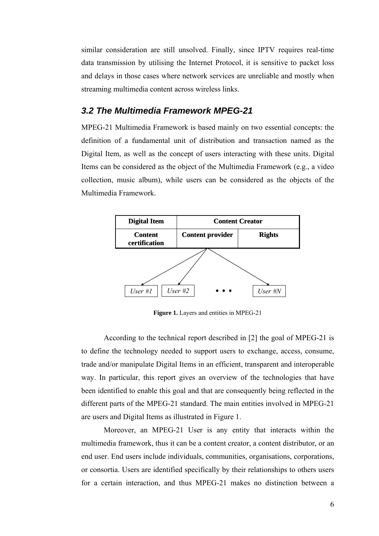similar consideration are still unsolved. Finally, since IPTV requires real-time data transmission by utilising the Internet Protocol, it is sensitive to packet loss and delays in those cases where network services are unreliable and mostly when streaming multimedia content across wireless links.

#### *3.2 The Multimedia Framework MPEG-21*

MPEG-21 Multimedia Framework is based mainly on two essential concepts: the definition of a fundamental unit of distribution and transaction named as the Digital Item, as well as the concept of users interacting with these units. Digital Items can be considered as the object of the Multimedia Framework (e.g., a video collection, music album), while users can be considered as the objects of the Multimedia Framework.



Figure 1. Layers and entities in MPEG-21

According to the technical report described in [2] the goal of MPEG-21 is to define the technology needed to support users to exchange, access, consume, trade and/or manipulate Digital Items in an efficient, transparent and interoperable way. In particular, this report gives an overview of the technologies that have been identified to enable this goal and that are consequently being reflected in the different parts of the MPEG-21 standard. The main entities involved in MPEG-21 are users and Digital Items as illustrated in Figure 1.

Moreover, an MPEG-21 User is any entity that interacts within the multimedia framework, thus it can be a content creator, a content distributor, or an end user. End users include individuals, communities, organisations, corporations, or consortia. Users are identified specifically by their relationships to others users for a certain interaction, and thus MPEG-21 makes no distinction between a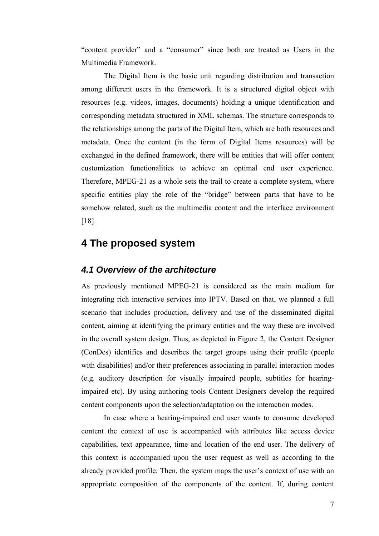"content provider" and a "consumer" since both are treated as Users in the Multimedia Framework.

The Digital Item is the basic unit regarding distribution and transaction among different users in the framework. It is a structured digital object with resources (e.g. videos, images, documents) holding a unique identification and corresponding metadata structured in XML schemas. The structure corresponds to the relationships among the parts of the Digital Item, which are both resources and metadata. Once the content (in the form of Digital Items resources) will be exchanged in the defined framework, there will be entities that will offer content customization functionalities to achieve an optimal end user experience. Therefore, MPEG-21 as a whole sets the trail to create a complete system, where specific entities play the role of the "bridge" between parts that have to be somehow related, such as the multimedia content and the interface environment [18].

# **4 The proposed system**

#### *4.1 Overview of the architecture*

As previously mentioned MPEG-21 is considered as the main medium for integrating rich interactive services into IPTV. Based on that, we planned a full scenario that includes production, delivery and use of the disseminated digital content, aiming at identifying the primary entities and the way these are involved in the overall system design. Thus, as depicted in Figure 2, the Content Designer (ConDes) identifies and describes the target groups using their profile (people with disabilities) and/or their preferences associating in parallel interaction modes (e.g. auditory description for visually impaired people, subtitles for hearingimpaired etc). By using authoring tools Content Designers develop the required content components upon the selection/adaptation on the interaction modes.

In case where a hearing-impaired end user wants to consume developed content the context of use is accompanied with attributes like access device capabilities, text appearance, time and location of the end user. The delivery of this context is accompanied upon the user request as well as according to the already provided profile. Then, the system maps the user's context of use with an appropriate composition of the components of the content. If, during content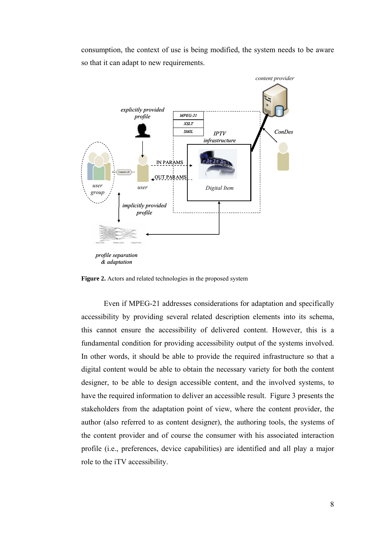consumption, the context of use is being modified, the system needs to be aware so that it can adapt to new requirements.



*& adaptation* 

**Figure 2.** Actors and related technologies in the proposed system

Even if MPEG-21 addresses considerations for adaptation and specifically accessibility by providing several related description elements into its schema, this cannot ensure the accessibility of delivered content. However, this is a fundamental condition for providing accessibility output of the systems involved. In other words, it should be able to provide the required infrastructure so that a digital content would be able to obtain the necessary variety for both the content designer, to be able to design accessible content, and the involved systems, to have the required information to deliver an accessible result. Figure 3 presents the stakeholders from the adaptation point of view, where the content provider, the author (also referred to as content designer), the authoring tools, the systems of the content provider and of course the consumer with his associated interaction profile (i.e., preferences, device capabilities) are identified and all play a major role to the iTV accessibility.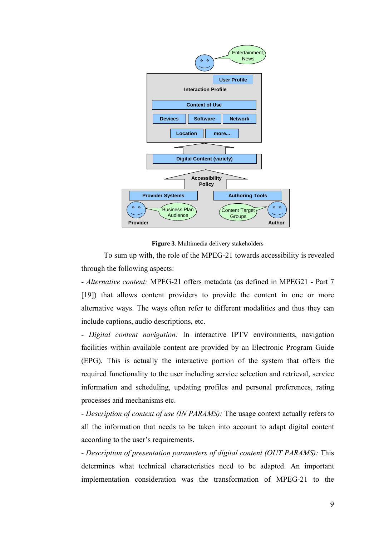

**Figure 3**. Multimedia delivery stakeholders

To sum up with, the role of the MPEG-21 towards accessibility is revealed through the following aspects:

*- Alternative content:* MPEG-21 offers metadata (as defined in MPEG21 - Part 7 [19]) that allows content providers to provide the content in one or more alternative ways. The ways often refer to different modalities and thus they can include captions, audio descriptions, etc.

*- Digital content navigation:* In interactive IPTV environments, navigation facilities within available content are provided by an Electronic Program Guide (EPG). This is actually the interactive portion of the system that offers the required functionality to the user including service selection and retrieval, service information and scheduling, updating profiles and personal preferences, rating processes and mechanisms etc.

*- Description of context of use (IN PARAMS):* The usage context actually refers to all the information that needs to be taken into account to adapt digital content according to the user's requirements.

*- Description of presentation parameters of digital content (OUT PARAMS):* This determines what technical characteristics need to be adapted. An important implementation consideration was the transformation of MPEG-21 to the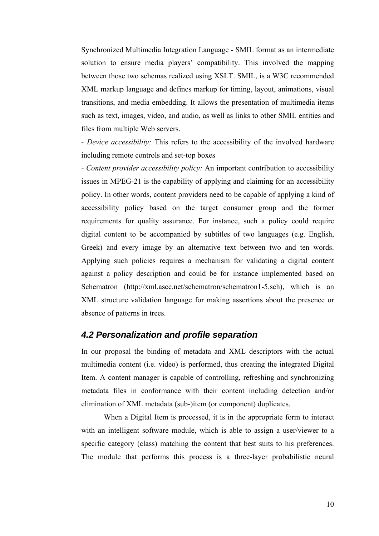Synchronized Multimedia Integration Language - SMIL format as an intermediate solution to ensure media players' compatibility. This involved the mapping between those two schemas realized using XSLT. SMIL, is a W3C recommended XML markup language and defines markup for timing, layout, animations, visual transitions, and media embedding. It allows the presentation of multimedia items such as text, images, video, and audio, as well as links to other SMIL entities and files from multiple Web servers.

*- Device accessibility:* This refers to the accessibility of the involved hardware including remote controls and set-top boxes

*- Content provider accessibility policy:* An important contribution to accessibility issues in MPEG-21 is the capability of applying and claiming for an accessibility policy. In other words, content providers need to be capable of applying a kind of accessibility policy based on the target consumer group and the former requirements for quality assurance. For instance, such a policy could require digital content to be accompanied by subtitles of two languages (e.g. English, Greek) and every image by an alternative text between two and ten words. Applying such policies requires a mechanism for validating a digital content against a policy description and could be for instance implemented based on Schematron (http://xml.ascc.net/schematron/schematron1-5.sch), which is an XML structure validation language for making assertions about the presence or absence of patterns in trees.

#### *4.2 Personalization and profile separation*

In our proposal the binding of metadata and XML descriptors with the actual multimedia content (i.e. video) is performed, thus creating the integrated Digital Item. A content manager is capable of controlling, refreshing and synchronizing metadata files in conformance with their content including detection and/or elimination of XML metadata (sub-)item (or component) duplicates.

When a Digital Item is processed, it is in the appropriate form to interact with an intelligent software module, which is able to assign a user/viewer to a specific category (class) matching the content that best suits to his preferences. The module that performs this process is a three-layer probabilistic neural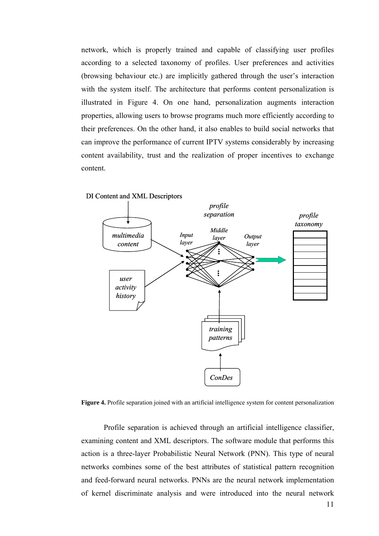network, which is properly trained and capable of classifying user profiles according to a selected taxonomy of profiles. User preferences and activities (browsing behaviour etc.) are implicitly gathered through the user's interaction with the system itself. The architecture that performs content personalization is illustrated in Figure 4. On one hand, personalization augments interaction properties, allowing users to browse programs much more efficiently according to their preferences. On the other hand, it also enables to build social networks that can improve the performance of current IPTV systems considerably by increasing content availability, trust and the realization of proper incentives to exchange content.



DI Content and XML Descriptors

**Figure 4.** Profile separation joined with an artificial intelligence system for content personalization

Profile separation is achieved through an artificial intelligence classifier, examining content and XML descriptors. The software module that performs this action is a three-layer Probabilistic Neural Network (PNN). This type of neural networks combines some of the best attributes of statistical pattern recognition and feed-forward neural networks. PNNs are the neural network implementation of kernel discriminate analysis and were introduced into the neural network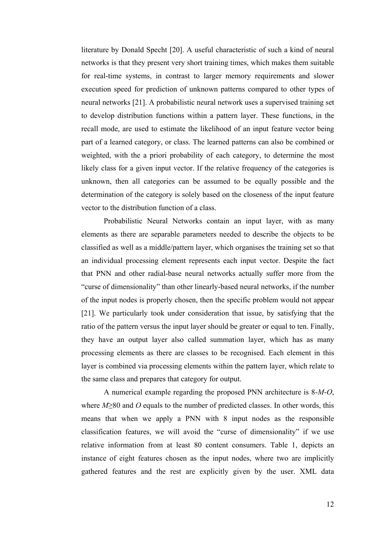literature by Donald Specht [20]. A useful characteristic of such a kind of neural networks is that they present very short training times, which makes them suitable for real-time systems, in contrast to larger memory requirements and slower execution speed for prediction of unknown patterns compared to other types of neural networks [21]. A probabilistic neural network uses a supervised training set to develop distribution functions within a pattern layer. These functions, in the recall mode, are used to estimate the likelihood of an input feature vector being part of a learned category, or class. The learned patterns can also be combined or weighted, with the a priori probability of each category, to determine the most likely class for a given input vector. If the relative frequency of the categories is unknown, then all categories can be assumed to be equally possible and the determination of the category is solely based on the closeness of the input feature vector to the distribution function of a class.

Probabilistic Neural Networks contain an input layer, with as many elements as there are separable parameters needed to describe the objects to be classified as well as a middle/pattern layer, which organises the training set so that an individual processing element represents each input vector. Despite the fact that PNN and other radial-base neural networks actually suffer more from the "curse of dimensionality" than other linearly-based neural networks, if the number of the input nodes is properly chosen, then the specific problem would not appear [21]. We particularly took under consideration that issue, by satisfying that the ratio of the pattern versus the input layer should be greater or equal to ten. Finally, they have an output layer also called summation layer, which has as many processing elements as there are classes to be recognised. Each element in this layer is combined via processing elements within the pattern layer, which relate to the same class and prepares that category for output.

A numerical example regarding the proposed PNN architecture is 8-*M*-*O*, where *M*≥80 and *O* equals to the number of predicted classes. In other words, this means that when we apply a PNN with 8 input nodes as the responsible classification features, we will avoid the "curse of dimensionality" if we use relative information from at least 80 content consumers. Table 1, depicts an instance of eight features chosen as the input nodes, where two are implicitly gathered features and the rest are explicitly given by the user. XML data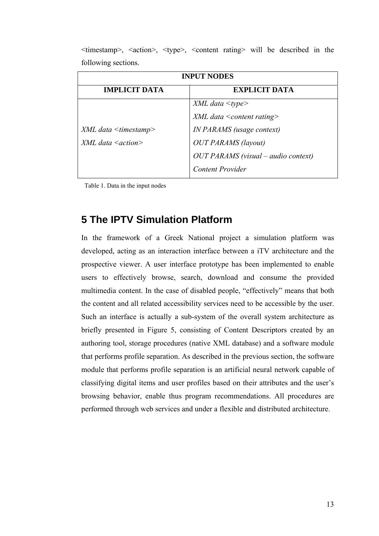| <b>INPUT NODES</b>           |                                       |
|------------------------------|---------------------------------------|
| <b>IMPLICIT DATA</b>         | <b>EXPLICIT DATA</b>                  |
|                              | $XML$ data $ltype$                    |
|                              | $XML$ data $\leq$ content rating>     |
| $XML$ data $\leq$ timestamp> | <i>IN PARAMS</i> (usage context)      |
| $XML$ data $\leq$ action $>$ | <b>OUT PARAMS</b> (layout)            |
|                              | $OUT$ PARAMS (visual – audio context) |
|                              | <b>Content Provider</b>               |

 $\langle t \rangle$   $\langle t \rangle$ ,  $\langle t \rangle$   $\langle t \rangle$ ,  $\langle t \rangle$   $\langle t \rangle$ ,  $\langle t \rangle$   $\langle t \rangle$  and  $\langle t \rangle$  and  $\langle t \rangle$  will be described in the following sections.

Table 1. Data in the input nodes

# **5 The IPTV Simulation Platform**

In the framework of a Greek National project a simulation platform was developed, acting as an interaction interface between a iTV architecture and the prospective viewer. A user interface prototype has been implemented to enable users to effectively browse, search, download and consume the provided multimedia content. In the case of disabled people, "effectively" means that both the content and all related accessibility services need to be accessible by the user. Such an interface is actually a sub-system of the overall system architecture as briefly presented in Figure 5, consisting of Content Descriptors created by an authoring tool, storage procedures (native XML database) and a software module that performs profile separation. As described in the previous section, the software module that performs profile separation is an artificial neural network capable of classifying digital items and user profiles based on their attributes and the user's browsing behavior, enable thus program recommendations. All procedures are performed through web services and under a flexible and distributed architecture.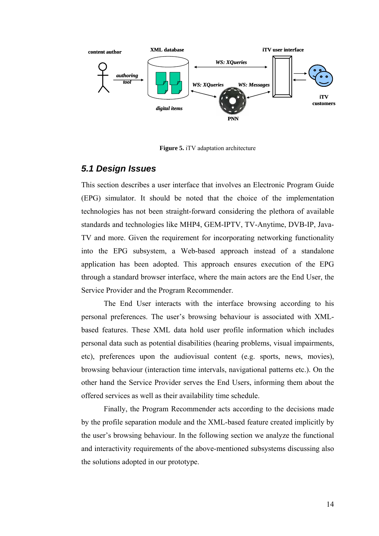

**Figure 5.** iTV adaptation architecture

#### *5.1 Design Issues*

This section describes a user interface that involves an Electronic Program Guide (EPG) simulator. It should be noted that the choice of the implementation technologies has not been straight-forward considering the plethora of available standards and technologies like MHP4, GEM-IPTV, TV-Anytime, DVB-IP, Java-TV and more. Given the requirement for incorporating networking functionality into the EPG subsystem, a Web-based approach instead of a standalone application has been adopted. This approach ensures execution of the EPG through a standard browser interface, where the main actors are the End User, the Service Provider and the Program Recommender.

The End User interacts with the interface browsing according to his personal preferences. The user's browsing behaviour is associated with XMLbased features. These XML data hold user profile information which includes personal data such as potential disabilities (hearing problems, visual impairments, etc), preferences upon the audiovisual content (e.g. sports, news, movies), browsing behaviour (interaction time intervals, navigational patterns etc.). On the other hand the Service Provider serves the End Users, informing them about the offered services as well as their availability time schedule.

Finally, the Program Recommender acts according to the decisions made by the profile separation module and the XML-based feature created implicitly by the user's browsing behaviour. In the following section we analyze the functional and interactivity requirements of the above-mentioned subsystems discussing also the solutions adopted in our prototype.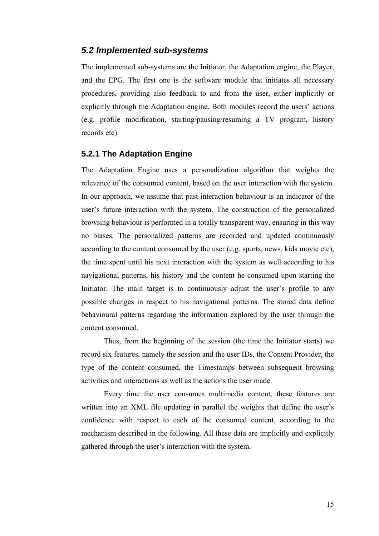#### *5.2 Implemented sub-systems*

The implemented sub-systems are the Initiator, the Adaptation engine, the Player, and the EPG. The first one is the software module that initiates all necessary procedures, providing also feedback to and from the user, either implicitly or explicitly through the Adaptation engine. Both modules record the users' actions (e.g. profile modification, starting/pausing/resuming a TV program, history records etc).

#### **5.2.1 The Adaptation Engine**

The Adaptation Engine uses a personalization algorithm that weights the relevance of the consumed content, based on the user interaction with the system. In our approach, we assume that past interaction behaviour is an indicator of the user's future interaction with the system. The construction of the personalized browsing behaviour is performed in a totally transparent way, ensuring in this way no biases. The personalized patterns are recorded and updated continuously according to the content consumed by the user (e.g. sports, news, kids movie etc), the time spent until his next interaction with the system as well according to his navigational patterns, his history and the content he consumed upon starting the Initiator. The main target is to continuously adjust the user's profile to any possible changes in respect to his navigational patterns. The stored data define behavioural patterns regarding the information explored by the user through the content consumed.

Thus, from the beginning of the session (the time the Initiator starts) we record six features, namely the session and the user IDs, the Content Provider, the type of the content consumed, the Timestamps between subsequent browsing activities and interactions as well as the actions the user made.

Every time the user consumes multimedia content, these features are written into an XML file updating in parallel the weights that define the user's confidence with respect to each of the consumed content, according to the mechanism described in the following. All these data are implicitly and explicitly gathered through the user's interaction with the system.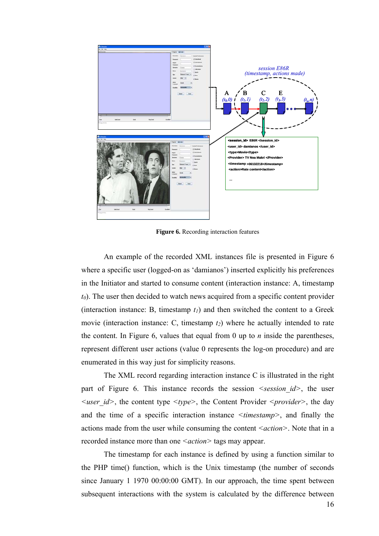

**Figure 6.** Recording interaction features

An example of the recorded XML instances file is presented in Figure 6 where a specific user (logged-on as 'damianos') inserted explicitly his preferences in the Initiator and started to consume content (interaction instance: A, timestamp *t0*). The user then decided to watch news acquired from a specific content provider (interaction instance: B, timestamp  $t_1$ ) and then switched the content to a Greek movie (interaction instance: C, timestamp  $t_2$ ) where he actually intended to rate the content. In Figure 6, values that equal from 0 up to *n* inside the parentheses, represent different user actions (value 0 represents the log-on procedure) and are enumerated in this way just for simplicity reasons.

The XML record regarding interaction instance C is illustrated in the right part of Figure 6. This instance records the session  $\leq$ session  $id$ , the user *<user\_id>*, the content type *<type>*, the Content Provider *<provider>*, the day and the time of a specific interaction instance *<timestamp>*, and finally the actions made from the user while consuming the content *<action*>. Note that in a recorded instance more than one  $\leq$  *action* > tags may appear.

The timestamp for each instance is defined by using a function similar to the PHP time() function, which is the Unix timestamp (the number of seconds since January 1 1970 00:00:00 GMT). In our approach, the time spent between subsequent interactions with the system is calculated by the difference between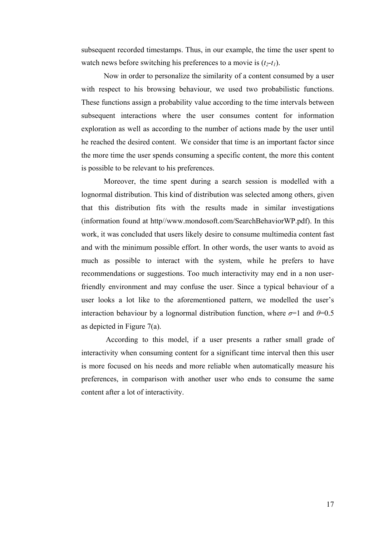subsequent recorded timestamps. Thus, in our example, the time the user spent to watch news before switching his preferences to a movie is  $(t_2-t_1)$ .

Now in order to personalize the similarity of a content consumed by a user with respect to his browsing behaviour, we used two probabilistic functions. These functions assign a probability value according to the time intervals between subsequent interactions where the user consumes content for information exploration as well as according to the number of actions made by the user until he reached the desired content. We consider that time is an important factor since the more time the user spends consuming a specific content, the more this content is possible to be relevant to his preferences.

Moreover, the time spent during a search session is modelled with a lognormal distribution. This kind of distribution was selected among others, given that this distribution fits with the results made in similar investigations (information found at http//www.mondosoft.com/SearchBehaviorWP.pdf). In this work, it was concluded that users likely desire to consume multimedia content fast and with the minimum possible effort. In other words, the user wants to avoid as much as possible to interact with the system, while he prefers to have recommendations or suggestions. Too much interactivity may end in a non userfriendly environment and may confuse the user. Since a typical behaviour of a user looks a lot like to the aforementioned pattern, we modelled the user's interaction behaviour by a lognormal distribution function, where  $\sigma$ =1 and  $\theta$ =0.5 as depicted in Figure 7(a).

 According to this model, if a user presents a rather small grade of interactivity when consuming content for a significant time interval then this user is more focused on his needs and more reliable when automatically measure his preferences, in comparison with another user who ends to consume the same content after a lot of interactivity.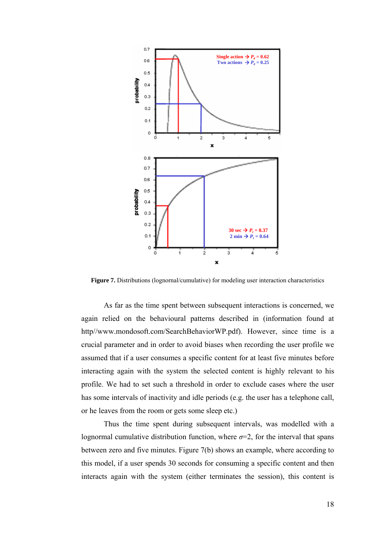

Figure 7. Distributions (lognornal/cumulative) for modeling user interaction characteristics

As far as the time spent between subsequent interactions is concerned, we again relied on the behavioural patterns described in (information found at http//www.mondosoft.com/SearchBehaviorWP.pdf). However, since time is a crucial parameter and in order to avoid biases when recording the user profile we assumed that if a user consumes a specific content for at least five minutes before interacting again with the system the selected content is highly relevant to his profile. We had to set such a threshold in order to exclude cases where the user has some intervals of inactivity and idle periods (e.g. the user has a telephone call, or he leaves from the room or gets some sleep etc.)

Thus the time spent during subsequent intervals, was modelled with a lognormal cumulative distribution function, where  $\sigma=2$ , for the interval that spans between zero and five minutes. Figure 7(b) shows an example, where according to this model, if a user spends 30 seconds for consuming a specific content and then interacts again with the system (either terminates the session), this content is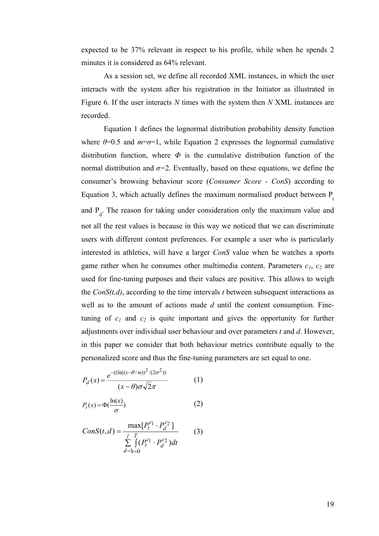expected to be 37% relevant in respect to his profile, while when he spends 2 minutes it is considered as 64% relevant.

As a session set, we define all recorded XML instances, in which the user interacts with the system after his registration in the Initiator as illustrated in Figure 6. If the user interacts *N* times with the system then *N* XML instances are recorded.

Equation 1 defines the lognormal distribution probability density function where  $\theta$ =0.5 and  $m$ = $\sigma$ =1, while Equation 2 expresses the lognormal cumulative distribution function, where  $\Phi$  is the cumulative distribution function of the normal distribution and  $\sigma$ =2. Eventually, based on these equations, we define the consumer's browsing behaviour score (*Consumer Score - ConS*) according to Equation 3, which actually defines the maximum normalised product between  $P_1$ and  $P_d$ . The reason for taking under consideration only the maximum value and not all the rest values is because in this way we noticed that we can discriminate users with different content preferences. For example a user who is particularly interested in athletics, will have a larger *ConS* value when he watches a sports game rather when he consumes other multimedia content. Parameters  $c_1$ ,  $c_2$  are used for fine-tuning purposes and their values are positive. This allows to weigh the  $ConS(t,d)$ , according to the time intervals  $t$  between subsequent interactions as well as to the amount of actions made *d* until the content consumption. Finetuning of  $c_1$  and  $c_2$  is quite important and gives the opportunity for further adjustments over individual user behaviour and over parameters *t* and *d*. However, in this paper we consider that both behaviour metrics contribute equally to the personalized score and thus the fine-tuning parameters are set equal to one.

$$
P_d(x) = \frac{e^{-((\ln((x-\theta/m))^2/(2\sigma^2)))}}{(x-\theta)\sigma\sqrt{2}\pi}
$$
 (1)

$$
P_t(x) = \Phi(\frac{\ln(x)}{\sigma})
$$
 (2)

$$
ConS(t,d) = \frac{\max[P_t^{c_1} \cdot P_d^{c_2}]}{\sum_{d=l_t=0}^{l} (P_t^{c_1} \cdot P_d^{c_2})dt}
$$
(3)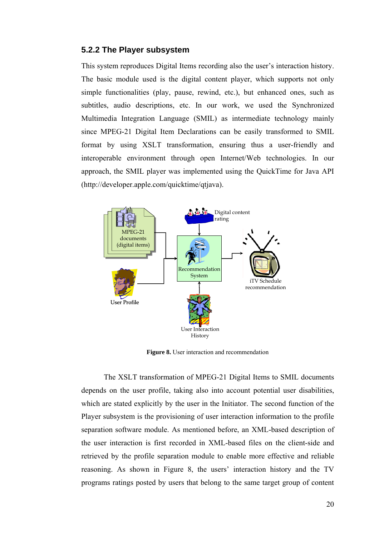#### **5.2.2 The Player subsystem**

This system reproduces Digital Items recording also the user's interaction history. The basic module used is the digital content player, which supports not only simple functionalities (play, pause, rewind, etc.), but enhanced ones, such as subtitles, audio descriptions, etc. In our work, we used the Synchronized Multimedia Integration Language (SMIL) as intermediate technology mainly since MPEG-21 Digital Item Declarations can be easily transformed to SMIL format by using XSLT transformation, ensuring thus a user-friendly and interoperable environment through open Internet/Web technologies. In our approach, the SMIL player was implemented using the QuickTime for Java API (http://developer.apple.com/quicktime/qtjava).



**Figure 8.** User interaction and recommendation

The XSLT transformation of MPEG-21 Digital Items to SMIL documents depends on the user profile, taking also into account potential user disabilities, which are stated explicitly by the user in the Initiator. The second function of the Player subsystem is the provisioning of user interaction information to the profile separation software module. As mentioned before, an XML-based description of the user interaction is first recorded in XML-based files on the client-side and retrieved by the profile separation module to enable more effective and reliable reasoning. As shown in Figure 8, the users' interaction history and the TV programs ratings posted by users that belong to the same target group of content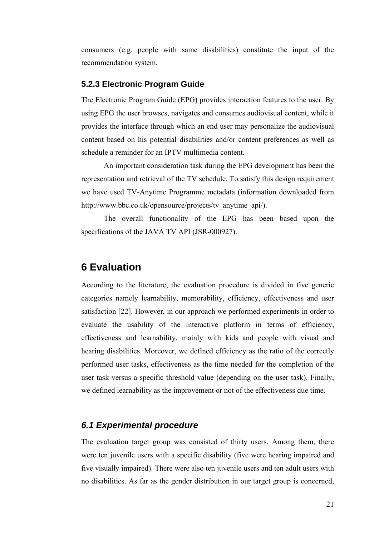consumers (e.g. people with same disabilities) constitute the input of the recommendation system.

#### **5.2.3 Electronic Program Guide**

The Electronic Program Guide (EPG) provides interaction features to the user. By using EPG the user browses, navigates and consumes audiovisual content, while it provides the interface through which an end user may personalize the audiovisual content based on his potential disabilities and/or content preferences as well as schedule a reminder for an IPTV multimedia content.

An important consideration task during the EPG development has been the representation and retrieval of the TV schedule. To satisfy this design requirement we have used TV-Anytime Programme metadata (information downloaded from http://www.bbc.co.uk/opensource/projects/tv\_anytime\_api/).

The overall functionality of the EPG has been based upon the specifications of the JAVA TV API (JSR-000927).

## **6 Evaluation**

According to the literature, the evaluation procedure is divided in five generic categories namely learnability, memorability, efficiency, effectiveness and user satisfaction [22]. However, in our approach we performed experiments in order to evaluate the usability of the interactive platform in terms of efficiency, effectiveness and learnability, mainly with kids and people with visual and hearing disabilities. Moreover, we defined efficiency as the ratio of the correctly performed user tasks, effectiveness as the time needed for the completion of the user task versus a specific threshold value (depending on the user task). Finally, we defined learnability as the improvement or not of the effectiveness due time.

#### *6.1 Experimental procedure*

The evaluation target group was consisted of thirty users. Among them, there were ten juvenile users with a specific disability (five were hearing impaired and five visually impaired). There were also ten juvenile users and ten adult users with no disabilities. As far as the gender distribution in our target group is concerned,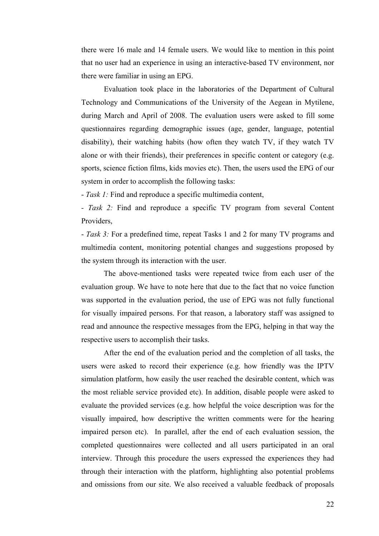there were 16 male and 14 female users. We would like to mention in this point that no user had an experience in using an interactive-based TV environment, nor there were familiar in using an EPG.

Evaluation took place in the laboratories of the Department of Cultural Technology and Communications of the University of the Aegean in Mytilene, during March and April of 2008. The evaluation users were asked to fill some questionnaires regarding demographic issues (age, gender, language, potential disability), their watching habits (how often they watch TV, if they watch TV alone or with their friends), their preferences in specific content or category (e.g. sports, science fiction films, kids movies etc). Then, the users used the EPG of our system in order to accomplish the following tasks:

- *Task 1:* Find and reproduce a specific multimedia content,

*- Task 2:* Find and reproduce a specific TV program from several Content Providers,

- *Task 3:* For a predefined time, repeat Tasks 1 and 2 for many TV programs and multimedia content, monitoring potential changes and suggestions proposed by the system through its interaction with the user.

The above-mentioned tasks were repeated twice from each user of the evaluation group. We have to note here that due to the fact that no voice function was supported in the evaluation period, the use of EPG was not fully functional for visually impaired persons. For that reason, a laboratory staff was assigned to read and announce the respective messages from the EPG, helping in that way the respective users to accomplish their tasks.

After the end of the evaluation period and the completion of all tasks, the users were asked to record their experience (e.g. how friendly was the IPTV simulation platform, how easily the user reached the desirable content, which was the most reliable service provided etc). In addition, disable people were asked to evaluate the provided services (e.g. how helpful the voice description was for the visually impaired, how descriptive the written comments were for the hearing impaired person etc). In parallel, after the end of each evaluation session, the completed questionnaires were collected and all users participated in an oral interview. Through this procedure the users expressed the experiences they had through their interaction with the platform, highlighting also potential problems and omissions from our site. We also received a valuable feedback of proposals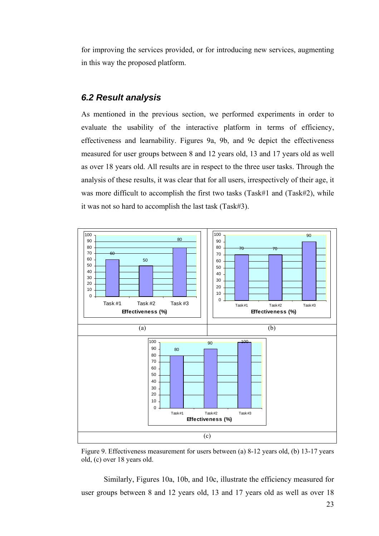for improving the services provided, or for introducing new services, augmenting in this way the proposed platform.

#### *6.2 Result analysis*

As mentioned in the previous section, we performed experiments in order to evaluate the usability of the interactive platform in terms of efficiency, effectiveness and learnability. Figures 9a, 9b, and 9c depict the effectiveness measured for user groups between 8 and 12 years old, 13 and 17 years old as well as over 18 years old. All results are in respect to the three user tasks. Through the analysis of these results, it was clear that for all users, irrespectively of their age, it was more difficult to accomplish the first two tasks (Task#1 and (Task#2), while it was not so hard to accomplish the last task (Task#3).



Figure 9. Effectiveness measurement for users between (a) 8-12 years old, (b) 13-17 years old, (c) over 18 years old.

Similarly, Figures 10a, 10b, and 10c, illustrate the efficiency measured for user groups between 8 and 12 years old, 13 and 17 years old as well as over 18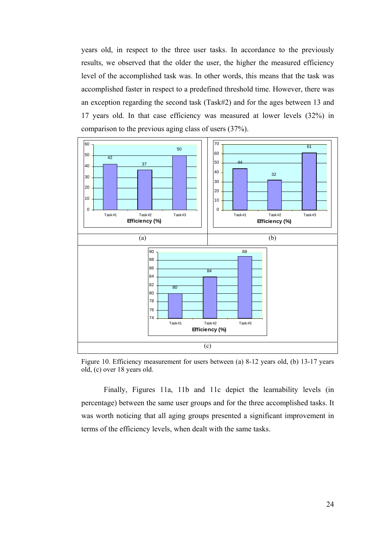years old, in respect to the three user tasks. In accordance to the previously results, we observed that the older the user, the higher the measured efficiency level of the accomplished task was. In other words, this means that the task was accomplished faster in respect to a predefined threshold time. However, there was an exception regarding the second task (Task#2) and for the ages between 13 and 17 years old. In that case efficiency was measured at lower levels (32%) in comparison to the previous aging class of users (37%).



Figure 10. Efficiency measurement for users between (a) 8-12 years old, (b) 13-17 years old, (c) over 18 years old.

Finally, Figures 11a, 11b and 11c depict the learnability levels (in percentage) between the same user groups and for the three accomplished tasks. It was worth noticing that all aging groups presented a significant improvement in terms of the efficiency levels, when dealt with the same tasks.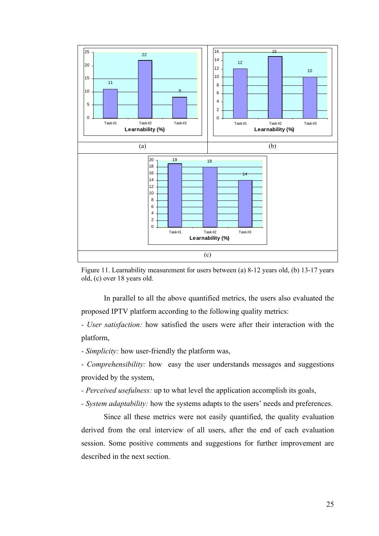

Figure 11. Learnability measurement for users between (a) 8-12 years old, (b) 13-17 years old, (c) over 18 years old.

In parallel to all the above quantified metrics, the users also evaluated the proposed IPTV platform according to the following quality metrics:

*- User satisfaction:* how satisfied the users were after their interaction with the platform,

*- Simplicity:* how user-friendly the platform was,

*- Comprehensibility:* how easy the user understands messages and suggestions provided by the system,

*- Perceived usefulness:* up to what level the application accomplish its goals,

*- System adaptability:* how the systems adapts to the users' needs and preferences.

Since all these metrics were not easily quantified, the quality evaluation derived from the oral interview of all users, after the end of each evaluation session. Some positive comments and suggestions for further improvement are described in the next section.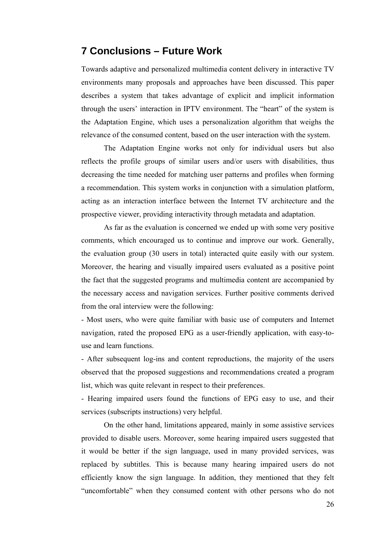## **7 Conclusions – Future Work**

Towards adaptive and personalized multimedia content delivery in interactive TV environments many proposals and approaches have been discussed. This paper describes a system that takes advantage of explicit and implicit information through the users' interaction in IPTV environment. The "heart" of the system is the Adaptation Engine, which uses a personalization algorithm that weighs the relevance of the consumed content, based on the user interaction with the system.

 The Adaptation Engine works not only for individual users but also reflects the profile groups of similar users and/or users with disabilities, thus decreasing the time needed for matching user patterns and profiles when forming a recommendation. This system works in conjunction with a simulation platform, acting as an interaction interface between the Internet TV architecture and the prospective viewer, providing interactivity through metadata and adaptation.

As far as the evaluation is concerned we ended up with some very positive comments, which encouraged us to continue and improve our work. Generally, the evaluation group (30 users in total) interacted quite easily with our system. Moreover, the hearing and visually impaired users evaluated as a positive point the fact that the suggested programs and multimedia content are accompanied by the necessary access and navigation services. Further positive comments derived from the oral interview were the following:

- Most users, who were quite familiar with basic use of computers and Internet navigation, rated the proposed EPG as a user-friendly application, with easy-touse and learn functions.

- After subsequent log-ins and content reproductions, the majority of the users observed that the proposed suggestions and recommendations created a program list, which was quite relevant in respect to their preferences.

- Hearing impaired users found the functions of EPG easy to use, and their services (subscripts instructions) very helpful.

On the other hand, limitations appeared, mainly in some assistive services provided to disable users. Moreover, some hearing impaired users suggested that it would be better if the sign language, used in many provided services, was replaced by subtitles. This is because many hearing impaired users do not efficiently know the sign language. In addition, they mentioned that they felt "uncomfortable" when they consumed content with other persons who do not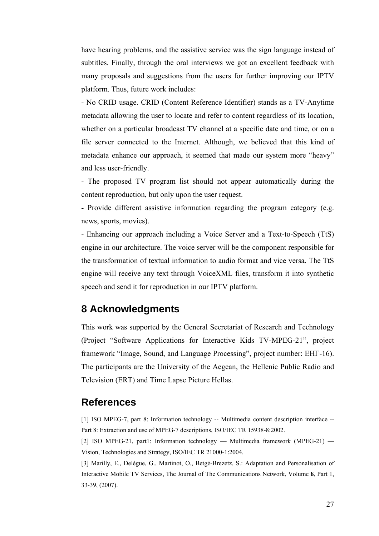have hearing problems, and the assistive service was the sign language instead of subtitles. Finally, through the oral interviews we got an excellent feedback with many proposals and suggestions from the users for further improving our IPTV platform. Thus, future work includes:

- No CRID usage. CRID (Content Reference Identifier) stands as a TV-Anytime metadata allowing the user to locate and refer to content regardless of its location, whether on a particular broadcast TV channel at a specific date and time, or on a file server connected to the Internet. Although, we believed that this kind of metadata enhance our approach, it seemed that made our system more "heavy" and less user-friendly.

- The proposed TV program list should not appear automatically during the content reproduction, but only upon the user request.

- Provide different assistive information regarding the program category (e.g. news, sports, movies).

- Enhancing our approach including a Voice Server and a Text-to-Speech (TtS) engine in our architecture. The voice server will be the component responsible for the transformation of textual information to audio format and vice versa. The TtS engine will receive any text through VoiceXML files, transform it into synthetic speech and send it for reproduction in our IPTV platform.

# **8 Acknowledgments**

This work was supported by the General Secretariat of Research and Technology (Project "Software Applications for Interactive Kids TV-MPEG-21", project framework "Image, Sound, and Language Processing", project number: EHΓ-16). The participants are the University of the Aegean, the Hellenic Public Radio and Television (ERT) and Time Lapse Picture Hellas.

# **References**

[1] ISO MPEG-7, part 8: Information technology -- Multimedia content description interface -- Part 8: Extraction and use of MPEG-7 descriptions, ISO/IEC TR 15938-8:2002.

[2] ISO MPEG-21, part1: Information technology — Multimedia framework (MPEG-21) — Vision, Technologies and Strategy, ISO/IEC TR 21000-1:2004.

[3] Marilly, E., Delègue, G., Martinot, O., Betgé-Brezetz, S.: Adaptation and Personalisation of Interactive Mobile TV Services, The Journal of The Communications Network, Volume **6**, Part 1, 33-39, (2007).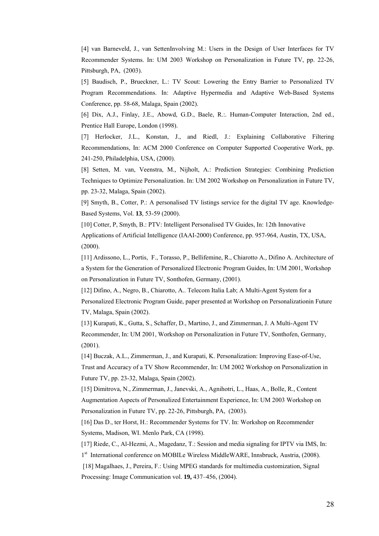[4] van Barneveld, J., van SettenInvolving M.: Users in the Design of User Interfaces for TV Recommender Systems. In: UM 2003 Workshop on Personalization in Future TV, pp. 22-26, Pittsburgh, PA, (2003).

[5] Baudisch, P., Brueckner, L.: TV Scout: Lowering the Entry Barrier to Personalized TV Program Recommendations. In: Adaptive Hypermedia and Adaptive Web-Based Systems Conference, pp. 58-68, Malaga, Spain (2002).

[6] Dix, A.J., Finlay, J.E., Abowd, G.D., Baele, R.:. Human-Computer Interaction, 2nd ed., Prentice Hall Europe, London (1998).

[7] Herlocker, J.L., Konstan, J., and Riedl, J.: Explaining Collaborative Filtering Recommendations, In: ACM 2000 Conference on Computer Supported Cooperative Work, pp. 241-250, Philadelphia, USA, (2000).

[8] Setten, M. van, Veenstra, M., Nijholt, A.: Prediction Strategies: Combining Prediction Techniques to Optimize Personalization. In: UM 2002 Workshop on Personalization in Future TV, pp. 23-32, Malaga, Spain (2002).

[9] Smyth, B., Cotter, P.: A personalised TV listings service for the digital TV age. Knowledge-Based Systems, Vol. **13**, 53-59 (2000).

[10] Cotter, P, Smyth, B.: PTV: Intelligent Personalised TV Guides, In: 12th Innovative Applications of Artificial Intelligence (IAAI-2000) Conference, pp. 957-964, Austin, TX, USA, (2000).

[11] Ardissono, L., Portis, F., Torasso, P., Bellifemine, R., Chiarotto A., Difino A. Architecture of a System for the Generation of Personalized Electronic Program Guides, In: UM 2001, Workshop on Personalization in Future TV, Sonthofen, Germany, (2001).

[12] Difino, A., Negro, B., Chiarotto, A.. Telecom Italia Lab; A Multi-Agent System for a Personalized Electronic Program Guide, paper presented at Workshop on Personalizationin Future TV, Malaga, Spain (2002).

[13] Kurapati, K., Gutta, S., Schaffer, D., Martino, J., and Zimmerman, J. A Multi-Agent TV Recommender, In: UM 2001, Workshop on Personalization in Future TV, Sonthofen, Germany, (2001).

[14] Buczak, A.L., Zimmerman, J., and Kurapati, K. Personalization: Improving Ease-of-Use, Trust and Accuracy of a TV Show Recommender, In: UM 2002 Workshop on Personalization in Future TV, pp. 23-32, Malaga, Spain (2002).

[15] Dimitrova, N., Zimmerman, J., Janevski, A., Agnihotri, L., Haas, A., Bolle, R., Content Augmentation Aspects of Personalized Entertainment Experience, In: UM 2003 Workshop on Personalization in Future TV, pp. 22-26, Pittsburgh, PA, (2003).

[16] Das D., ter Horst, H.: Recommender Systems for TV. In: Workshop on Recommender Systems, Madison, WI. Menlo Park, CA (1998).

[17] Riede, C., Al-Hezmi, A., Magedanz, T.: Session and media signaling for IPTV via IMS, In:

1<sup>st</sup> International conference on MOBILe Wireless MiddleWARE, Innsbruck, Austria, (2008).

 [18] Magalhaes, J., Pereira, F.: Using MPEG standards for multimedia customization, Signal Processing: Image Communication vol. **19,** 437–456, (2004).